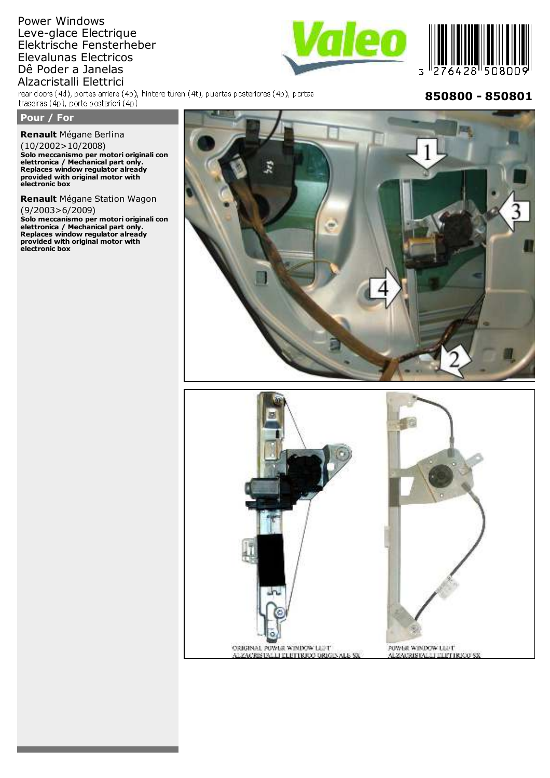# Power Windows Leve-glace Electrique Elektrische Fensterheber Elevalunas Electricos Dê Poder a Janelas

Alzacristalli Elettrici<br>rear doors (4d), portes arriere (4p), hintere türen (4t), puertas posteriores (4p), portas traseiras (4p), porte posteriori (4p)

## **Pour / For**

**Renault**

**Renault** Mégane Berlina (10/2002>10/2008)

**Solo meccanismo per motori originali con elettronica / Mechanical part only. Replaces window regulator already provided with original motor with electronic box Renault**

**Renault** Mégane Station Wagon (9/2003>6/2009)

**Solo meccanismo per motori originali con elettronica / Mechanical part only. Replaces window regulator already provided with original motor with electronic box**



FOWER WINDOW LEFT

ALZAGRISTALLI ELETTRICO SX

ORIGINAL POWER WINDOW LEFT

ALZACRISTALLI ELETTRICO ORIGINALE SX





**850800 - 850801**